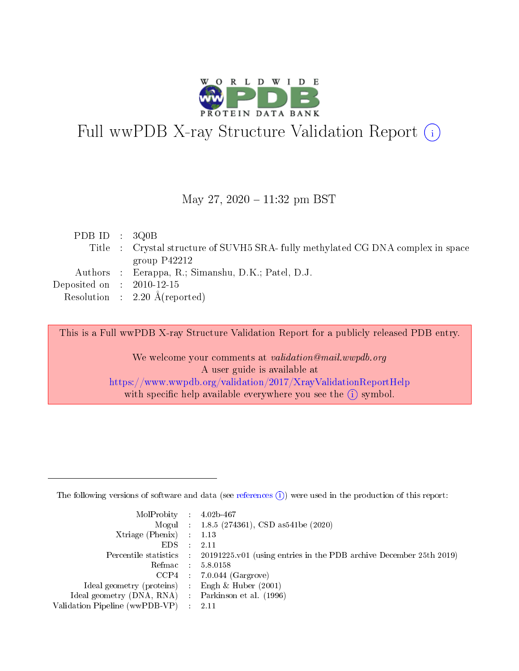

# Full wwPDB X-ray Structure Validation Report (i)

#### May 27,  $2020 - 11:32$  pm BST

| PDB ID : $3Q0B$             |                                                                                  |
|-----------------------------|----------------------------------------------------------------------------------|
|                             | Title : Crystal structure of SUVH5 SRA- fully methylated CG DNA complex in space |
|                             | group $P42212$                                                                   |
|                             | Authors : Eerappa, R.; Simanshu, D.K.; Patel, D.J.                               |
| Deposited on : $2010-12-15$ |                                                                                  |
|                             | Resolution : $2.20 \text{ Å}$ (reported)                                         |
|                             |                                                                                  |

This is a Full wwPDB X-ray Structure Validation Report for a publicly released PDB entry.

We welcome your comments at validation@mail.wwpdb.org A user guide is available at <https://www.wwpdb.org/validation/2017/XrayValidationReportHelp> with specific help available everywhere you see the  $(i)$  symbol.

The following versions of software and data (see [references](https://www.wwpdb.org/validation/2017/XrayValidationReportHelp#references)  $(1)$ ) were used in the production of this report:

| $MolProbability$ : 4.02b-467                      |                              |                                                                                            |
|---------------------------------------------------|------------------------------|--------------------------------------------------------------------------------------------|
|                                                   |                              | Mogul : $1.8.5$ (274361), CSD as 541be (2020)                                              |
| Xtriage (Phenix) $: 1.13$                         |                              |                                                                                            |
| EDS –                                             | $\sim$                       | -2.11                                                                                      |
|                                                   |                              | Percentile statistics : 20191225.v01 (using entries in the PDB archive December 25th 2019) |
| Refmac : 5.8.0158                                 |                              |                                                                                            |
| CCP4                                              |                              | $7.0.044$ (Gargrove)                                                                       |
| Ideal geometry (proteins)                         | $\mathcal{L}_{\mathrm{eff}}$ | Engh & Huber $(2001)$                                                                      |
| Ideal geometry (DNA, RNA) Parkinson et al. (1996) |                              |                                                                                            |
| Validation Pipeline (wwPDB-VP) : 2.11             |                              |                                                                                            |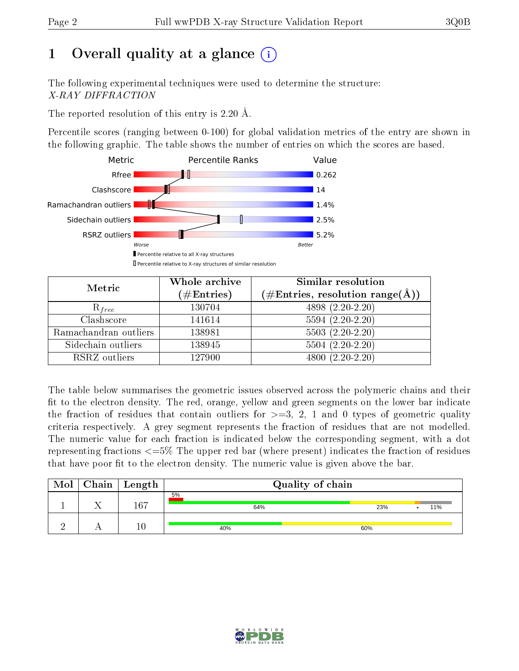# 1 [O](https://www.wwpdb.org/validation/2017/XrayValidationReportHelp#overall_quality)verall quality at a glance  $(i)$

The following experimental techniques were used to determine the structure: X-RAY DIFFRACTION

The reported resolution of this entry is 2.20 Å.

Percentile scores (ranging between 0-100) for global validation metrics of the entry are shown in the following graphic. The table shows the number of entries on which the scores are based.



| Metric                | Whole archive<br>$(\#\mathrm{Entries})$ | Similar resolution<br>$(\#\text{Entries},\,\text{resolution}\,\,\text{range}(\textup{\AA}))$ |  |  |
|-----------------------|-----------------------------------------|----------------------------------------------------------------------------------------------|--|--|
| $R_{free}$            | 130704                                  | 4898 (2.20-2.20)                                                                             |  |  |
| Clashscore            | 141614                                  | $5594(2.20-2.20)$                                                                            |  |  |
| Ramachandran outliers | 138981                                  | $5503 (2.20-2.20)$                                                                           |  |  |
| Sidechain outliers    | 138945                                  | $5504(2.20-2.20)$                                                                            |  |  |
| RSRZ outliers         | 127900                                  | $4800(2.20-2.20)$                                                                            |  |  |

The table below summarises the geometric issues observed across the polymeric chains and their fit to the electron density. The red, orange, yellow and green segments on the lower bar indicate the fraction of residues that contain outliers for  $>=3, 2, 1$  and 0 types of geometric quality criteria respectively. A grey segment represents the fraction of residues that are not modelled. The numeric value for each fraction is indicated below the corresponding segment, with a dot representing fractions <=5% The upper red bar (where present) indicates the fraction of residues that have poor fit to the electron density. The numeric value is given above the bar.

| Mol | $\mid$ Chain $\mid$ Length | Quality of chain |     |     |  |  |
|-----|----------------------------|------------------|-----|-----|--|--|
|     | 167                        | 5%<br>64%        | 23% | 11% |  |  |
|     |                            | 40%              | 60% |     |  |  |

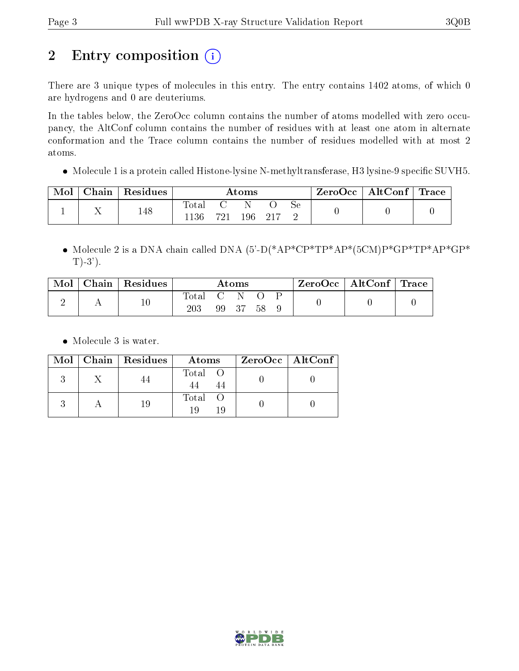# 2 Entry composition (i)

There are 3 unique types of molecules in this entry. The entry contains 1402 atoms, of which 0 are hydrogens and 0 are deuteriums.

In the tables below, the ZeroOcc column contains the number of atoms modelled with zero occupancy, the AltConf column contains the number of residues with at least one atom in alternate conformation and the Trace column contains the number of residues modelled with at most 2 atoms.

• Molecule 1 is a protein called Histone-lysine N-methyltransferase, H3 lysine-9 specific SUVH5.

| Mol | ${\rm Chain}$ | Residues | $\rm{Atoms}$  |     |     | ZeroOcc   AltConf   Trace |    |  |  |
|-----|---------------|----------|---------------|-----|-----|---------------------------|----|--|--|
|     |               | 148      | Total<br>1136 | 791 | 196 | - 217                     | Sе |  |  |

 Molecule 2 is a DNA chain called DNA (5'-D(\*AP\*CP\*TP\*AP\*(5CM)P\*GP\*TP\*AP\*GP\*  $T$ )-3').

| Mol | Chain   Residues | Atoms        |           |     | $\text{ZeroOcc}$   AltConf   Trace |  |  |  |
|-----|------------------|--------------|-----------|-----|------------------------------------|--|--|--|
|     | 10               | Total<br>203 | - 0<br>99 | -37 |                                    |  |  |  |

• Molecule 3 is water.

|  | Mol   Chain   Residues | Atoms               | ZeroOcc   AltConf |
|--|------------------------|---------------------|-------------------|
|  |                        | Total O             |                   |
|  | 19                     | Total O<br>10<br>19 |                   |

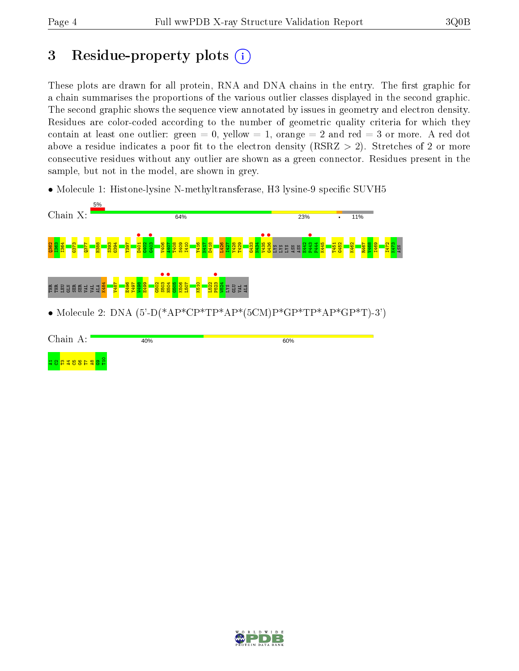## 3 Residue-property plots  $(i)$

These plots are drawn for all protein, RNA and DNA chains in the entry. The first graphic for a chain summarises the proportions of the various outlier classes displayed in the second graphic. The second graphic shows the sequence view annotated by issues in geometry and electron density. Residues are color-coded according to the number of geometric quality criteria for which they contain at least one outlier: green  $= 0$ , yellow  $= 1$ , orange  $= 2$  and red  $= 3$  or more. A red dot above a residue indicates a poor fit to the electron density (RSRZ  $> 2$ ). Stretches of 2 or more consecutive residues without any outlier are shown as a green connector. Residues present in the sample, but not in the model, are shown in grey.

• Molecule 1: Histone-lysine N-methyltransferase, H3 lysine-9 specific SUVH5



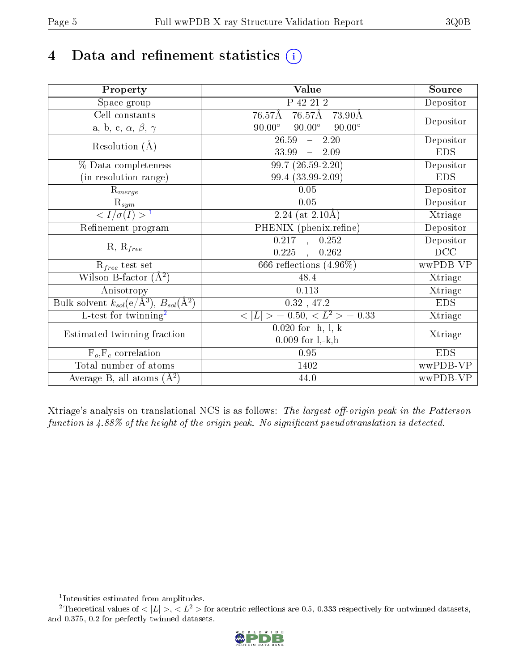# 4 Data and refinement statistics  $(i)$

| Property                                                             | Value                                           | Source     |  |
|----------------------------------------------------------------------|-------------------------------------------------|------------|--|
| $\overline{\text{Space}}$ group                                      | P 42 21 2                                       | Depositor  |  |
| Cell constants                                                       | 76.57Å 73.90Å<br>76.57Å                         |            |  |
| a, b, c, $\alpha$ , $\beta$ , $\gamma$                               | $90.00^\circ$<br>$90.00^\circ$<br>$90.00^\circ$ | Depositor  |  |
| Resolution $(\AA)$                                                   | 26.59<br>2.20<br>$\frac{1}{2}$                  | Depositor  |  |
|                                                                      | 33.99<br>$-2.09$                                | <b>EDS</b> |  |
| % Data completeness                                                  | $99.7(26.59-2.20)$                              | Depositor  |  |
| (in resolution range)                                                | 99.4 (33.99-2.09)                               | <b>EDS</b> |  |
| $R_{merge}$                                                          | 0.05                                            | Depositor  |  |
| $\frac{R_{sym}}{{}1}$                                                | 0.05                                            | Depositor  |  |
|                                                                      | 2.24 (at $2.10\text{\AA}$ )                     | Xtriage    |  |
| Refinement program                                                   | PHENIX (phenix.refine)                          | Depositor  |  |
|                                                                      | $0.217$ , $0.252$                               | Depositor  |  |
| $R, R_{free}$                                                        | 0.225<br>0.262<br>$\sim$ , $\sim$               | DCC        |  |
| $R_{free}$ test set                                                  | 666 reflections $(4.96\%)$                      | wwPDB-VP   |  |
| Wilson B-factor $(A^2)$                                              | 48.4                                            | Xtriage    |  |
| Anisotropy                                                           | 0.113                                           | Xtriage    |  |
| Bulk solvent $k_{sol}(e/\mathring{A}^3)$ , $B_{sol}(\mathring{A}^2)$ | $0.32$ , 47.2                                   | <b>EDS</b> |  |
| L-test for twinning <sup>2</sup>                                     | $< L >$ = 0.50, $< L^2 >$ = 0.33                | Xtriage    |  |
| Estimated twinning fraction                                          | $0.020$ for $-h,-l,-k$                          |            |  |
|                                                                      | $0.009$ for $l, -k, h$                          | Xtriage    |  |
| $F_o, F_c$ correlation                                               | 0.95                                            | <b>EDS</b> |  |
| Total number of atoms                                                | 1402                                            | wwPDB-VP   |  |
| Average B, all atoms $(A^2)$                                         | 44.0                                            | wwPDB-VP   |  |

Xtriage's analysis on translational NCS is as follows: The largest off-origin peak in the Patterson function is  $4.88\%$  of the height of the origin peak. No significant pseudotranslation is detected.

<sup>&</sup>lt;sup>2</sup>Theoretical values of  $\langle |L| \rangle$ ,  $\langle L^2 \rangle$  for acentric reflections are 0.5, 0.333 respectively for untwinned datasets, and 0.375, 0.2 for perfectly twinned datasets.



<span id="page-4-1"></span><span id="page-4-0"></span><sup>1</sup> Intensities estimated from amplitudes.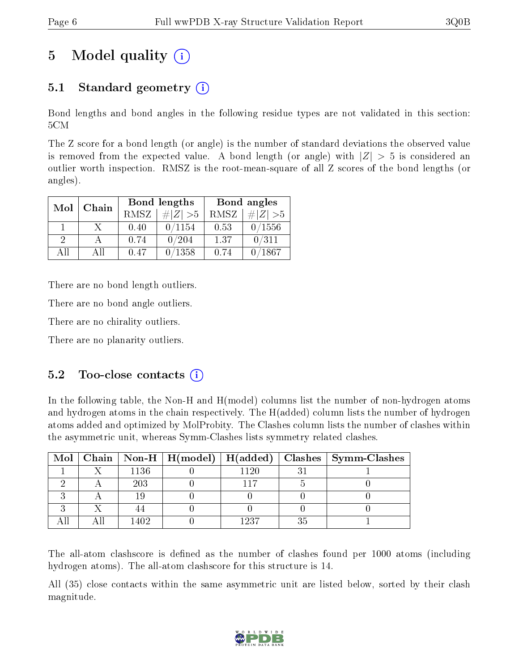## 5 Model quality  $(i)$

### 5.1 Standard geometry  $(i)$

Bond lengths and bond angles in the following residue types are not validated in this section: 5CM

The Z score for a bond length (or angle) is the number of standard deviations the observed value is removed from the expected value. A bond length (or angle) with  $|Z| > 5$  is considered an outlier worth inspection. RMSZ is the root-mean-square of all Z scores of the bond lengths (or angles).

| Mol           | Chain |      | <b>Bond lengths</b> | Bond angles |             |  |
|---------------|-------|------|---------------------|-------------|-------------|--|
|               |       | RMSZ | $\# Z  > 5$         | RMSZ        | $\ Z\  > 5$ |  |
|               |       | 0.40 | 0/1154              | 0.53        | 0/1556      |  |
| $\mathcal{D}$ |       | 0.74 | 0/204               | 1.37        | 0/311       |  |
| АH            | Аll   | 0.47 | 0/1358              | 0.74        | /1867       |  |

There are no bond length outliers.

There are no bond angle outliers.

There are no chirality outliers.

There are no planarity outliers.

#### $5.2$  Too-close contacts  $(i)$

In the following table, the Non-H and H(model) columns list the number of non-hydrogen atoms and hydrogen atoms in the chain respectively. The H(added) column lists the number of hydrogen atoms added and optimized by MolProbity. The Clashes column lists the number of clashes within the asymmetric unit, whereas Symm-Clashes lists symmetry related clashes.

|  |      |      |    | Mol   Chain   Non-H   H(model)   H(added)   Clashes   Symm-Clashes |
|--|------|------|----|--------------------------------------------------------------------|
|  | 1136 | 1120 |    |                                                                    |
|  | 203  |      |    |                                                                    |
|  |      |      |    |                                                                    |
|  |      |      |    |                                                                    |
|  |      | 1937 | 2t |                                                                    |

The all-atom clashscore is defined as the number of clashes found per 1000 atoms (including hydrogen atoms). The all-atom clashscore for this structure is 14.

All (35) close contacts within the same asymmetric unit are listed below, sorted by their clash magnitude.

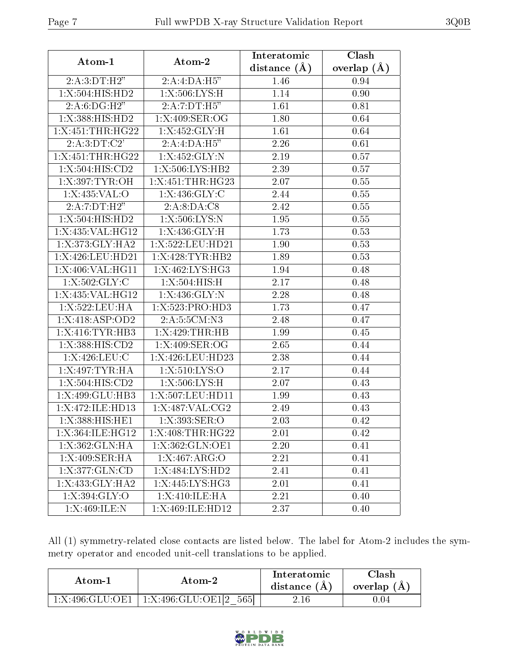| Atom-1             | Atom-2              | Interatomic  | Clash         |  |
|--------------------|---------------------|--------------|---------------|--|
|                    |                     | distance (Å) | overlap $(A)$ |  |
| 2:A:3:DT:H2"       | 2:A:4:DA:H5"        | 1.46         | 0.94          |  |
| 1:X:504:HIS:HD2    | 1:X:506:LYS:H       | 1.14         | 0.90          |  |
| 2: A:6:DG:H2"      | 2:A:7:DT:H5"        | 1.61         | 0.81          |  |
| 1:X:388:HIS:HD2    | 1: X:409: SER:OG    | 1.80         | 0.64          |  |
| 1:X:451:THR:HG22   | 1:X:452:GLY:H       | 1.61         | 0.64          |  |
| 2:A:3:DT:C2'       | 2:A:4:DA:H5"        | 2.26         | 0.61          |  |
| 1:X:451:THR:HG22   | 1: X:452: GLY:N     | 2.19         | 0.57          |  |
| 1:X:504:HIS:CD2    | 1:X:506:LYS:HB2     | 2.39         | 0.57          |  |
| 1:X:397:TYR:OH     | 1:X:451:THR:HG23    | 2.07         | 0.55          |  |
| 1:X:435:VAL:O      | 1: X:436: GLY: C    | 2.44         | 0.55          |  |
| 2:A:7:DT:H2"       | 2:A:8:DA:C8         | 2.42         | 0.55          |  |
| 1:X:504:HIS:HD2    | 1: X:506: LYS:N     | 1.95         | 0.55          |  |
| 1:X:435:VAL:HG12   | 1:X:436:GLY:H       | 1.73         | 0.53          |  |
| 1:X:373:GLY:HA2    | 1:X:522:LEU:HD21    | 1.90         | 0.53          |  |
| 1:X:426:LEU:HD21   | 1:X:428:TYR:HB2     | 1.89         | 0.53          |  |
| 1:X:406:VAL:HG11   | 1:X:462:LYS:HG3     | 1.94         | 0.48          |  |
| 1: X: 502: GLY: C  | 1: X:504: HIS:H     | 2.17         | 0.48          |  |
| 1:X:435:VAL:HG12   | 1: X:436: GLY:N     | 2.28         | 0.48          |  |
| 1:X:522:LEU:HA     | 1:X:523:PRO:HD3     | 1.73         | 0.47          |  |
| 1:X:418:ASP:OD2    | 2:A:5:5CM:N3        | 2.48         | 0.47          |  |
| 1:X:416:TYR:HB3    | 1:X:429:THR:HB      | 1.99         | 0.45          |  |
| 1:X:388:HIS:CD2    | 1:X:409:SER:OG      | 2.65         | 0.44          |  |
| 1: X:426:LEU:C     | 1:X:426:LEU:HD23    | 2.38         | 0.44          |  |
| 1:X:497:TYR:HA     | 1:X:510:LYS:O       | 2.17         | 0.44          |  |
| 1:X:504:HIS:CD2    | 1:X:506:LYS:H       | 2.07         | 0.43          |  |
| 1:X:499:GLU:HB3    | 1:X:507:LEU:HD11    | 1.99         | 0.43          |  |
| 1:X:472:ILE:HD13   | 1:X:487:VAL:CG2     | 2.49         | 0.43          |  |
| 1:X:388:HIS:HE1    | 1: X:393: SER: O    | 2.03         | 0.42          |  |
| 1:X:364:ILE:HG12   | 1:X:408:THR:HG22    | 2.01         | 0.42          |  |
| 1: X: 362: GLN: HA | 1: X: 362: GLN: OE1 | 2.20         | 0.41          |  |
| 1:X:409:SER:HA     | 1:X:467:ARG:O       | 2.21         | 0.41          |  |
| 1:X:377:GLN:CD     | 1:X:484:LYS:HD2     | 2.41         | 0.41          |  |
| 1:X:433:GLY:HA2    | 1:X:445:LYS:HG3     | 2.01         | 0.41          |  |
| 1: X:394: GLY:O    | 1:X:410:ILE:HA      | 2.21         | 0.40          |  |
| 1:X:469:ILE:N      | 1:X:469:ILE:HD12    | 2.37         | 0.40          |  |

All (1) symmetry-related close contacts are listed below. The label for Atom-2 includes the symmetry operator and encoded unit-cell translations to be applied.

| Atom-1          | Atom-2                             | Interatomic<br>distance $(A)$ | Clash<br>overlap (A |
|-----------------|------------------------------------|-------------------------------|---------------------|
| 1:X:496:GLU:OE1 | $^+$ 1:X:496:GLU:OE1[2 $^+$<br>565 | 2.16                          | 0.04                |

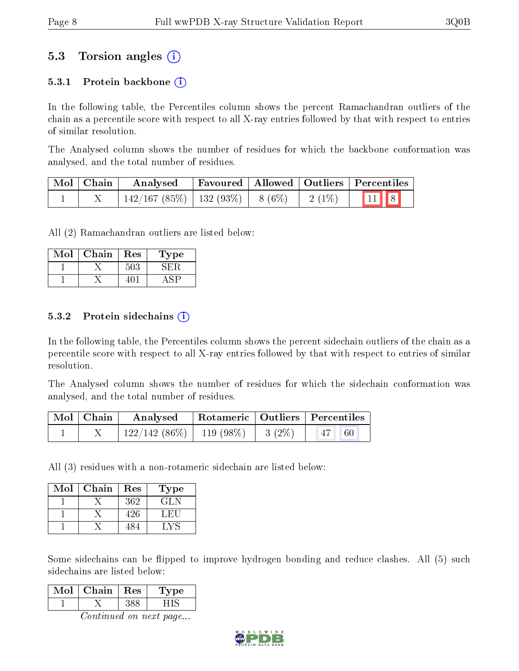### 5.3 Torsion angles (i)

#### 5.3.1 Protein backbone  $(i)$

In the following table, the Percentiles column shows the percent Ramachandran outliers of the chain as a percentile score with respect to all X-ray entries followed by that with respect to entries of similar resolution.

The Analysed column shows the number of residues for which the backbone conformation was analysed, and the total number of residues.

| Mol   Chain | Analysed                                |  |          | $\perp$ Favoured   Allowed   Outliers   Percentiles                                |
|-------------|-----------------------------------------|--|----------|------------------------------------------------------------------------------------|
|             | $142/167$ (85\%)   132 (93\%)   8 (6\%) |  | $2(1\%)$ | $\begin{array}{ c c c c c }\n\hline\n\text{1} & \text{11} & \text{8}\n\end{array}$ |

All (2) Ramachandran outliers are listed below:

| Mol | Chain | Res | l'ype |
|-----|-------|-----|-------|
|     |       |     |       |
|     |       |     |       |

#### 5.3.2 Protein sidechains  $(i)$

In the following table, the Percentiles column shows the percent sidechain outliers of the chain as a percentile score with respect to all X-ray entries followed by that with respect to entries of similar resolution.

The Analysed column shows the number of residues for which the sidechain conformation was analysed, and the total number of residues.

| Mol   Chain | Analysed                               | Rotameric   Outliers   Percentiles |           |  |
|-------------|----------------------------------------|------------------------------------|-----------|--|
|             | $122/142(86\%)$   119 (98\%)   3 (2\%) |                                    | 47 <br>60 |  |

All (3) residues with a non-rotameric sidechain are listed below:

| Mol | Chain | Res | Type |
|-----|-------|-----|------|
|     |       | 362 | GL N |
|     |       | 426 | LEU  |
|     |       | 484 |      |

Some sidechains can be flipped to improve hydrogen bonding and reduce clashes. All (5) such sidechains are listed below:

| Iol | Chain | Res | 'oe |
|-----|-------|-----|-----|
|     |       |     |     |

Continued on next page...

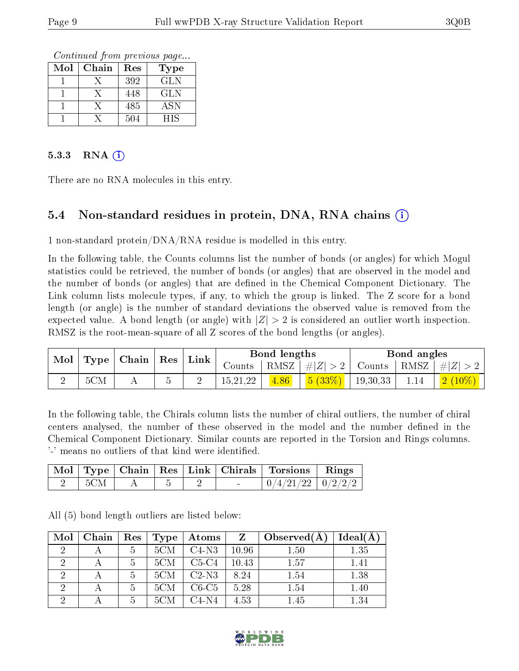Continued from previous page...

| Mol | Chain | Res | Type       |
|-----|-------|-----|------------|
|     |       | 392 | <b>GLN</b> |
|     |       | 448 | <b>GLN</b> |
|     |       | 485 | ASN        |
|     |       | 504 | НIS        |

#### 5.3.3 RNA  $(i)$

There are no RNA molecules in this entry.

#### 5.4 Non-standard residues in protein, DNA, RNA chains  $(i)$

1 non-standard protein/DNA/RNA residue is modelled in this entry.

In the following table, the Counts columns list the number of bonds (or angles) for which Mogul statistics could be retrieved, the number of bonds (or angles) that are observed in the model and the number of bonds (or angles) that are defined in the Chemical Component Dictionary. The Link column lists molecule types, if any, to which the group is linked. The Z score for a bond length (or angle) is the number of standard deviations the observed value is removed from the expected value. A bond length (or angle) with  $|Z| > 2$  is considered an outlier worth inspection. RMSZ is the root-mean-square of all Z scores of the bond lengths (or angles).

| $\vert$ Mol $\vert$ Type $\vert$ Chain $\vert$ Res $\vert$ |     |  | $\perp$ Link |            | Bond lengths |         |                       | Bond angles |                            |
|------------------------------------------------------------|-----|--|--------------|------------|--------------|---------|-----------------------|-------------|----------------------------|
|                                                            |     |  |              | Counts     | RMSZ         | #Z  > 2 | Counts   RMSZ $\vert$ |             | #Z  > 2                    |
|                                                            | 5CM |  |              | 15, 21, 22 |              | 5(33%)  | $+19,30,33$           | 1.14        | $\mid 2\ (10\%) \mid \mid$ |

In the following table, the Chirals column lists the number of chiral outliers, the number of chiral centers analysed, the number of these observed in the model and the number defined in the Chemical Component Dictionary. Similar counts are reported in the Torsion and Rings columns. '-' means no outliers of that kind were identified.

|     |  |  | Mol   Type   Chain   Res   Link   Chirals   Torsions   Rings |  |
|-----|--|--|--------------------------------------------------------------|--|
| 5CM |  |  | $0/4/21/22$   $0/2/2/2$                                      |  |

All (5) bond length outliers are listed below:

| Mol | Chain | $\operatorname{Res}$ | Type | Atoms   | Z     | $\big\{\lvert\text{Observed}(\text{A})\rvert\}$ | Ideal(A) |
|-----|-------|----------------------|------|---------|-------|-------------------------------------------------|----------|
| 2   |       | 5                    | 5CM  | $C4-N3$ | 10.96 | 1.50                                            | 1.35     |
| 2   |       | 5                    | 5CM  | $C5-C4$ | 10.43 | 1.57                                            | 1.41     |
|     |       | 5                    | 5CM  | $C2-N3$ | 8.24  | 1.54                                            | 1.38     |
|     |       | 5                    | 5CM  | $C6-C5$ | 5.28  | 1.54                                            | 1.40     |
|     |       | 5                    | 5CM  | $C4-N4$ | 4.53  | 1.45                                            | 1.34     |

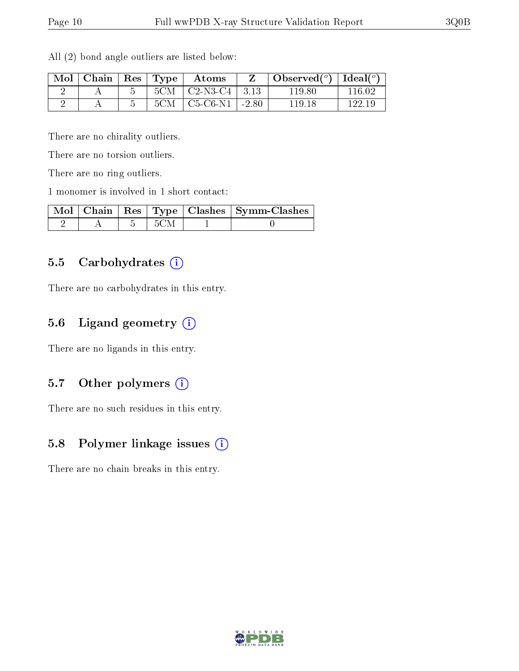| Mol | Chain | $\perp$ Res $\perp$ | Type | Atoms                         | $\bullet$ Observed( $^o$ )   Ideal( $^o$ ) |        |
|-----|-------|---------------------|------|-------------------------------|--------------------------------------------|--------|
|     |       |                     | 5CM  | $\vert$ C2-N3-C4 $\vert$ 3.13 | 119.80                                     | 116 02 |
|     |       |                     | 5CM  | $C5-C6-N1$   -2.80            | 119.18                                     | 122.19 |

All (2) bond angle outliers are listed below:

There are no chirality outliers.

There are no torsion outliers.

There are no ring outliers.

1 monomer is involved in 1 short contact:

|  |      | Mol   Chain   Res   Type   Clashes   Symm-Clashes |
|--|------|---------------------------------------------------|
|  | -5CM |                                                   |

#### 5.5 Carbohydrates  $(i)$

There are no carbohydrates in this entry.

#### 5.6 Ligand geometry (i)

There are no ligands in this entry.

#### 5.7 [O](https://www.wwpdb.org/validation/2017/XrayValidationReportHelp#nonstandard_residues_and_ligands)ther polymers  $(i)$

There are no such residues in this entry.

#### 5.8 Polymer linkage issues (i)

There are no chain breaks in this entry.

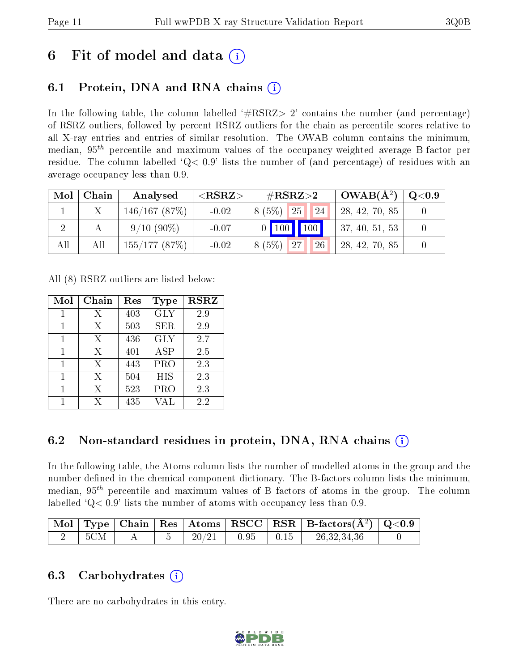## 6 Fit of model and data  $\left( \cdot \right)$

### 6.1 Protein, DNA and RNA chains (i)

In the following table, the column labelled  $#RSRZ>2'$  contains the number (and percentage) of RSRZ outliers, followed by percent RSRZ outliers for the chain as percentile scores relative to all X-ray entries and entries of similar resolution. The OWAB column contains the minimum, median,  $95<sup>th</sup>$  percentile and maximum values of the occupancy-weighted average B-factor per residue. The column labelled  $Q< 0.9$  lists the number of (and percentage) of residues with an average occupancy less than 0.9.

| Mol | Chain | Analysed        | ${ <\hspace{-1.5pt}{\mathrm{RSRZ}} \hspace{-1.5pt}>}$ | $\#\text{RSRZ}{>}2$     | $OWAB(A^2)$     | $\rm Q\textcolor{black}{<}0.9$ |
|-----|-------|-----------------|-------------------------------------------------------|-------------------------|-----------------|--------------------------------|
|     |       | 146/167(87%)    | $-0.02$                                               | 24 <br> 25 <br>$8(5\%)$ | 28, 42, 70, 85  |                                |
|     |       | $9/10(90\%)$    | $-0.07$                                               | $0$   100   100         | 137, 40, 51, 53 |                                |
| All | All   | $155/177$ (87%) | $-0.02$                                               | $8(5\%)$ 27<br>26       | 28, 42, 70, 85  |                                |

All (8) RSRZ outliers are listed below:

| Mol | Chain | Res | Type       | <b>RSRZ</b> |  |
|-----|-------|-----|------------|-------------|--|
|     | Х     | 403 | <b>GLY</b> | 2.9         |  |
| 1   | Х     | 503 | SER.       | 2.9         |  |
| 1   | Х     | 436 | <b>GLY</b> | 2.7         |  |
| 1   | X     | 401 | <b>ASP</b> | 2.5         |  |
| 1   | X     | 443 | <b>PRO</b> | 2.3         |  |
| 1   | Х     | 504 | HIS        | 2.3         |  |
|     | Х     | 523 | PRO        | 2.3         |  |
|     | X     | 435 | VAL        | 2.2         |  |

#### 6.2 Non-standard residues in protein, DNA, RNA chains (i)

In the following table, the Atoms column lists the number of modelled atoms in the group and the number defined in the chemical component dictionary. The B-factors column lists the minimum, median,  $95<sup>th</sup>$  percentile and maximum values of B factors of atoms in the group. The column labelled  $Q< 0.9$ ' lists the number of atoms with occupancy less than 0.9.

|  |  |                 |      |      | $\vert$ Mol $\vert$ Type $\vert$ Chain $\vert$ Res $\vert$ Atoms $\vert$ RSCC $\vert$ RSR $\vert$ B-factors(A <sup>2</sup> ) $\vert$ Q<0.9 |  |
|--|--|-----------------|------|------|--------------------------------------------------------------------------------------------------------------------------------------------|--|
|  |  | $20\,/\:\!\!21$ | 0.95 | 0.15 | 26, 32, 34, 36                                                                                                                             |  |

#### 6.3 Carbohydrates (i)

There are no carbohydrates in this entry.